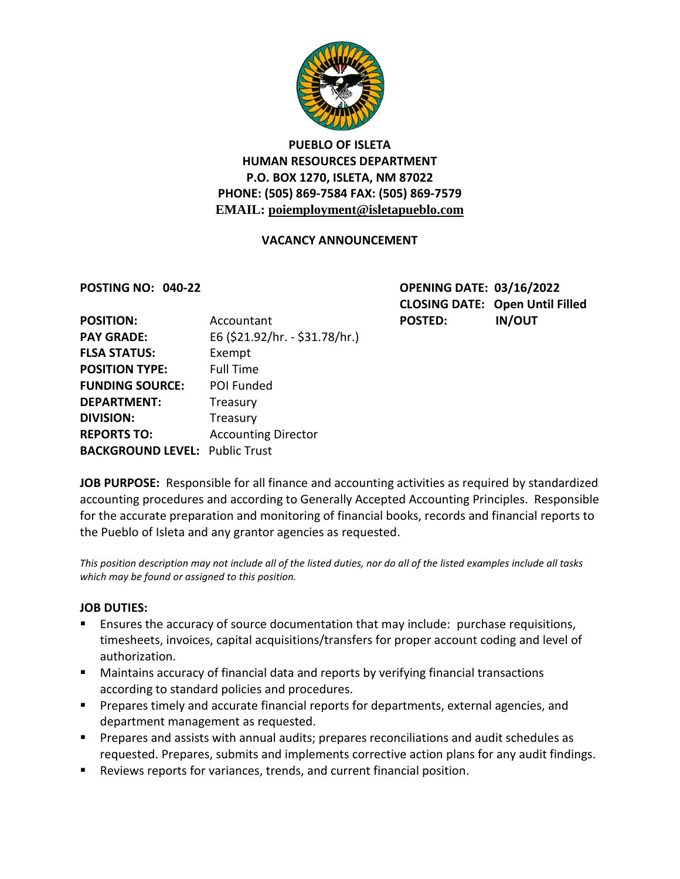

## **PUEBLO OF ISLETA HUMAN RESOURCES DEPARTMENT P.O. BOX 1270, ISLETA, NM 87022 PHONE: (505) 869-7584 FAX: (505) 869-7579 EMAIL: poiemployment@isletapueblo.com**

### **VACANCY ANNOUNCEMENT**

**POSTING NO: 040-22 OPENING DATE: 03/16/2022 CLOSING DATE: Open Until Filled**

|                                       |                                              | <b>IN/OUT</b>  |
|---------------------------------------|----------------------------------------------|----------------|
|                                       |                                              |                |
|                                       |                                              |                |
| Exempt                                |                                              |                |
| <b>Full Time</b>                      |                                              |                |
| POI Funded                            |                                              |                |
| Treasury                              |                                              |                |
| Treasury                              |                                              |                |
| <b>Accounting Director</b>            |                                              |                |
| <b>BACKGROUND LEVEL: Public Trust</b> |                                              |                |
|                                       | Accountant<br>E6 (\$21.92/hr. - \$31.78/hr.) | <b>POSTED:</b> |

**JOB PURPOSE:** Responsible for all finance and accounting activities as required by standardized accounting procedures and according to Generally Accepted Accounting Principles. Responsible for the accurate preparation and monitoring of financial books, records and financial reports to the Pueblo of Isleta and any grantor agencies as requested.

*This position description may not include all of the listed duties, nor do all of the listed examples include all tasks which may be found or assigned to this position.*

#### **JOB DUTIES:**

- Ensures the accuracy of source documentation that may include: purchase requisitions, timesheets, invoices, capital acquisitions/transfers for proper account coding and level of authorization.
- Maintains accuracy of financial data and reports by verifying financial transactions according to standard policies and procedures.
- **Prepares timely and accurate financial reports for departments, external agencies, and** department management as requested.
- **Prepares and assists with annual audits; prepares reconciliations and audit schedules as** requested. Prepares, submits and implements corrective action plans for any audit findings.
- Reviews reports for variances, trends, and current financial position.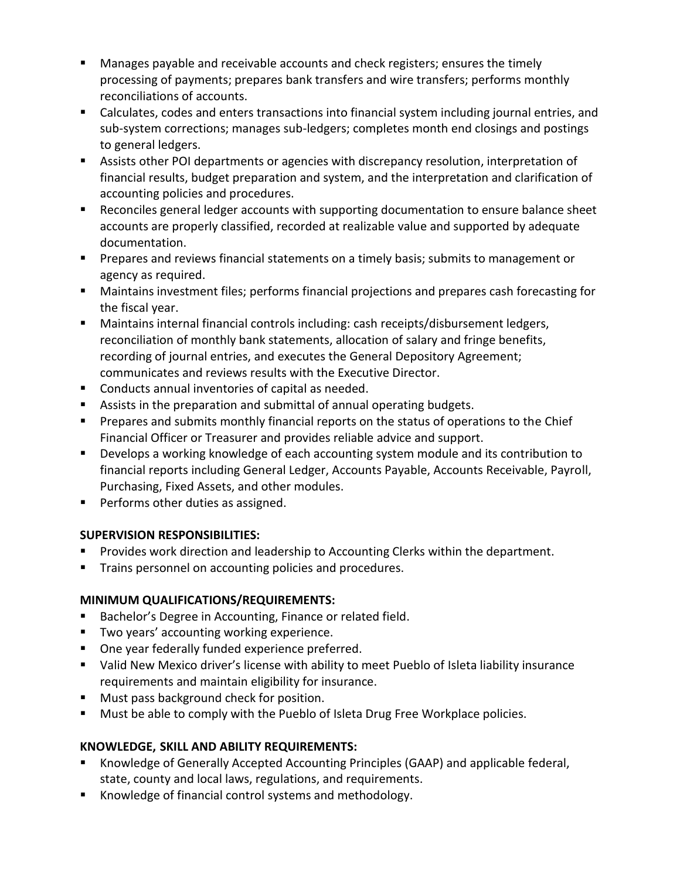- Manages payable and receivable accounts and check registers; ensures the timely processing of payments; prepares bank transfers and wire transfers; performs monthly reconciliations of accounts.
- Calculates, codes and enters transactions into financial system including journal entries, and sub-system corrections; manages sub-ledgers; completes month end closings and postings to general ledgers.
- Assists other POI departments or agencies with discrepancy resolution, interpretation of financial results, budget preparation and system, and the interpretation and clarification of accounting policies and procedures.
- Reconciles general ledger accounts with supporting documentation to ensure balance sheet accounts are properly classified, recorded at realizable value and supported by adequate documentation.
- **Prepares and reviews financial statements on a timely basis; submits to management or** agency as required.
- Maintains investment files; performs financial projections and prepares cash forecasting for the fiscal year.
- Maintains internal financial controls including: cash receipts/disbursement ledgers, reconciliation of monthly bank statements, allocation of salary and fringe benefits, recording of journal entries, and executes the General Depository Agreement; communicates and reviews results with the Executive Director.
- **Conducts annual inventories of capital as needed.**
- Assists in the preparation and submittal of annual operating budgets.
- **Prepares and submits monthly financial reports on the status of operations to the Chief** Financial Officer or Treasurer and provides reliable advice and support.
- **Develops a working knowledge of each accounting system module and its contribution to** financial reports including General Ledger, Accounts Payable, Accounts Receivable, Payroll, Purchasing, Fixed Assets, and other modules.
- **Performs other duties as assigned.**

## **SUPERVISION RESPONSIBILITIES:**

- Provides work direction and leadership to Accounting Clerks within the department.
- **Trains personnel on accounting policies and procedures.**

# **MINIMUM QUALIFICATIONS/REQUIREMENTS:**

- **Bachelor's Degree in Accounting, Finance or related field.**
- **Two years' accounting working experience.**
- **Diam** One year federally funded experience preferred.
- Valid New Mexico driver's license with ability to meet Pueblo of Isleta liability insurance requirements and maintain eligibility for insurance.
- **Must pass background check for position.**
- **Must be able to comply with the Pueblo of Isleta Drug Free Workplace policies.**

# **KNOWLEDGE, SKILL AND ABILITY REQUIREMENTS:**

- Knowledge of Generally Accepted Accounting Principles (GAAP) and applicable federal, state, county and local laws, regulations, and requirements.
- Knowledge of financial control systems and methodology.